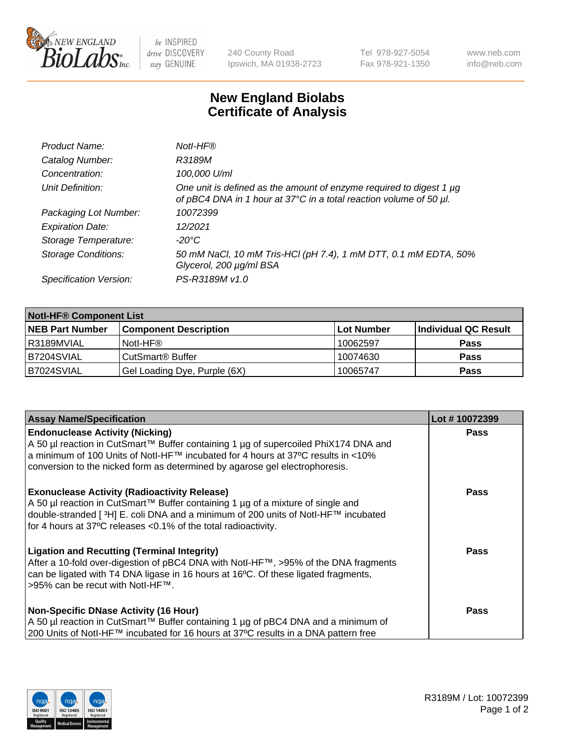

 $be$  INSPIRED drive DISCOVERY stay GENUINE

240 County Road Ipswich, MA 01938-2723 Tel 978-927-5054 Fax 978-921-1350 www.neb.com info@neb.com

## **New England Biolabs Certificate of Analysis**

| Product Name:              | Notl-HF®                                                                                                                                  |
|----------------------------|-------------------------------------------------------------------------------------------------------------------------------------------|
| Catalog Number:            | R3189M                                                                                                                                    |
| Concentration:             | 100,000 U/ml                                                                                                                              |
| Unit Definition:           | One unit is defined as the amount of enzyme required to digest 1 µg<br>of pBC4 DNA in 1 hour at 37°C in a total reaction volume of 50 µl. |
| Packaging Lot Number:      | 10072399                                                                                                                                  |
| <b>Expiration Date:</b>    | 12/2021                                                                                                                                   |
| Storage Temperature:       | $-20^{\circ}$ C                                                                                                                           |
| <b>Storage Conditions:</b> | 50 mM NaCl, 10 mM Tris-HCl (pH 7.4), 1 mM DTT, 0.1 mM EDTA, 50%<br>Glycerol, 200 µg/ml BSA                                                |
| Specification Version:     | PS-R3189M v1.0                                                                                                                            |

| <b>Notl-HF® Component List</b> |                              |            |                      |  |
|--------------------------------|------------------------------|------------|----------------------|--|
| <b>NEB Part Number</b>         | <b>Component Description</b> | Lot Number | Individual QC Result |  |
| I R3189MVIAL                   | Notl-HF®                     | 10062597   | <b>Pass</b>          |  |
| IB7204SVIAL                    | CutSmart <sup>®</sup> Buffer | 10074630   | <b>Pass</b>          |  |
| B7024SVIAL                     | Gel Loading Dye, Purple (6X) | 10065747   | <b>Pass</b>          |  |

| <b>Assay Name/Specification</b>                                                                                                                                                                                                                                                                            | Lot #10072399 |
|------------------------------------------------------------------------------------------------------------------------------------------------------------------------------------------------------------------------------------------------------------------------------------------------------------|---------------|
| <b>Endonuclease Activity (Nicking)</b><br>  A 50 µl reaction in CutSmart™ Buffer containing 1 µg of supercoiled PhiX174 DNA and                                                                                                                                                                            | <b>Pass</b>   |
| a minimum of 100 Units of Notl-HF™ incubated for 4 hours at 37°C results in <10%<br>conversion to the nicked form as determined by agarose gel electrophoresis.                                                                                                                                            |               |
| <b>Exonuclease Activity (Radioactivity Release)</b><br>A 50 µl reaction in CutSmart™ Buffer containing 1 µg of a mixture of single and<br>double-stranded [ <sup>3</sup> H] E. coli DNA and a minimum of 200 units of Notl-HF™ incubated<br>for 4 hours at 37°C releases <0.1% of the total radioactivity. | <b>Pass</b>   |
| <b>Ligation and Recutting (Terminal Integrity)</b><br>After a 10-fold over-digestion of pBC4 DNA with Notl-HF™, >95% of the DNA fragments<br>can be ligated with T4 DNA ligase in 16 hours at 16 $\degree$ C. Of these ligated fragments,<br> >95% can be recut with NotI-HF™.                             | <b>Pass</b>   |
| <b>Non-Specific DNase Activity (16 Hour)</b>                                                                                                                                                                                                                                                               | <b>Pass</b>   |
| A 50 µl reaction in CutSmart™ Buffer containing 1 µg of pBC4 DNA and a minimum of<br>200 Units of Notl-HF™ incubated for 16 hours at 37°C results in a DNA pattern free                                                                                                                                    |               |